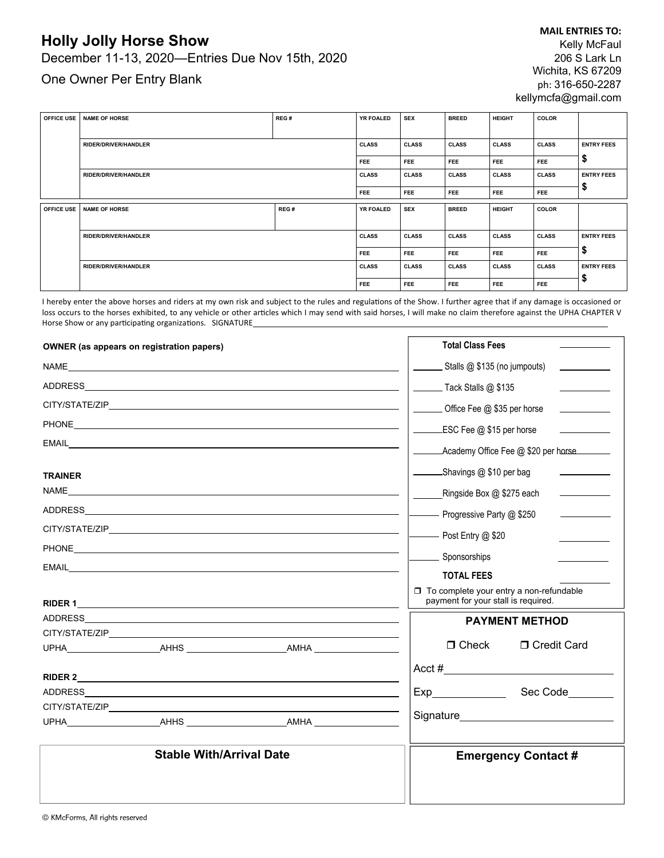## **Holly Jolly Horse Show**

December 11-13, 2020—Entries Due Nov 15th, 2020

One Owner Per Entry Blank

| <b>OFFICE USE</b> | <b>NAME OF HORSE</b>                                       | REG# | YR FOALED        | <b>SEX</b>   | <b>BREED</b> | <b>HEIGHT</b> | <b>COLOR</b> |                   |
|-------------------|------------------------------------------------------------|------|------------------|--------------|--------------|---------------|--------------|-------------------|
|                   |                                                            |      |                  |              |              |               |              |                   |
|                   | <b>RIDER/DRIVER/HANDLER</b>                                |      | <b>CLASS</b>     | <b>CLASS</b> | <b>CLASS</b> | <b>CLASS</b>  | <b>CLASS</b> | <b>ENTRY FEES</b> |
|                   |                                                            |      | <b>FEE</b>       | <b>FEE</b>   | <b>FEE</b>   | <b>FEE</b>    | FEE.         | ⋑                 |
|                   | RIDER/DRIVER/HANDLER                                       |      | <b>CLASS</b>     | <b>CLASS</b> | <b>CLASS</b> | <b>CLASS</b>  | <b>CLASS</b> | <b>ENTRY FEES</b> |
|                   |                                                            |      | <b>FEE</b>       | <b>FEE</b>   | <b>FEE</b>   | FEE.          | <b>FEE</b>   | ₽                 |
| <b>OFFICE USE</b> | <b>NAME OF HORSE</b>                                       | REG# | <b>YR FOALED</b> | <b>SEX</b>   | <b>BREED</b> | <b>HEIGHT</b> | <b>COLOR</b> |                   |
|                   |                                                            |      |                  |              |              |               |              |                   |
|                   | <b>RIDER/DRIVER/HANDLER</b><br><b>RIDER/DRIVER/HANDLER</b> |      | <b>CLASS</b>     | <b>CLASS</b> | <b>CLASS</b> | <b>CLASS</b>  | <b>CLASS</b> | <b>ENTRY FEES</b> |
|                   |                                                            |      | <b>FEE</b>       | <b>FEE</b>   | FEE          | <b>FEE</b>    | <b>FEE</b>   | ⊅                 |
|                   |                                                            |      | <b>CLASS</b>     | <b>CLASS</b> | <b>CLASS</b> | <b>CLASS</b>  | <b>CLASS</b> | <b>ENTRY FEES</b> |
|                   |                                                            |      | <b>FEE</b>       | FEE          | <b>FEE</b>   | <b>FEE</b>    | FEE          | \$                |

I hereby enter the above horses and riders at my own risk and subject to the rules and regulations of the Show. I further agree that if any damage is occasioned or loss occurs to the horses exhibited, to any vehicle or other articles which I may send with said horses, I will make no claim therefore against the UPHA CHAPTER V Horse Show or any participating organizations. SIGNATURE

| <b>OWNER</b> (as appears on registration papers)                                                                                                                                                                               |  | <b>Total Class Fees</b>                                                             |                                                          |                                                |  |  |  |
|--------------------------------------------------------------------------------------------------------------------------------------------------------------------------------------------------------------------------------|--|-------------------------------------------------------------------------------------|----------------------------------------------------------|------------------------------------------------|--|--|--|
|                                                                                                                                                                                                                                |  | Stalls @ \$135 (no jumpouts)                                                        |                                                          |                                                |  |  |  |
| ADDRESS <b>AND RESIDENT</b>                                                                                                                                                                                                    |  | __________ Tack Stalls @ \$135<br>Office Fee @ \$35 per horse                       |                                                          |                                                |  |  |  |
|                                                                                                                                                                                                                                |  |                                                                                     |                                                          |                                                |  |  |  |
|                                                                                                                                                                                                                                |  | ESC Fee @ \$15 per horse                                                            |                                                          |                                                |  |  |  |
|                                                                                                                                                                                                                                |  | Academy Office Fee @ \$20 per horse                                                 |                                                          |                                                |  |  |  |
| <b>TRAINER</b>                                                                                                                                                                                                                 |  | ___________Shavings @ \$10 per bag                                                  |                                                          |                                                |  |  |  |
|                                                                                                                                                                                                                                |  | Ringside Box @ \$275 each<br><u>and the state of the state</u>                      |                                                          |                                                |  |  |  |
| ADDRESS AND THE STATE OF THE STATE OF THE STATE OF THE STATE OF THE STATE OF THE STATE OF THE STATE OF THE STATE OF THE STATE OF THE STATE OF THE STATE OF THE STATE OF THE STATE OF THE STATE OF THE STATE OF THE STATE OF TH |  | - Progressive Party @ \$250<br>$\mathcal{L}=\mathcal{L}$ . The set of $\mathcal{L}$ |                                                          |                                                |  |  |  |
|                                                                                                                                                                                                                                |  | - Post Entry @ \$20                                                                 |                                                          |                                                |  |  |  |
|                                                                                                                                                                                                                                |  |                                                                                     |                                                          |                                                |  |  |  |
|                                                                                                                                                                                                                                |  | Sponsorships                                                                        |                                                          |                                                |  |  |  |
|                                                                                                                                                                                                                                |  |                                                                                     | <b>TOTAL FEES</b><br>payment for your stall is required. | $\Box$ To complete your entry a non-refundable |  |  |  |
|                                                                                                                                                                                                                                |  |                                                                                     |                                                          |                                                |  |  |  |
|                                                                                                                                                                                                                                |  |                                                                                     | <b>PAYMENT METHOD</b>                                    |                                                |  |  |  |
|                                                                                                                                                                                                                                |  |                                                                                     | $\Box$ Check                                             | □ Credit Card                                  |  |  |  |
|                                                                                                                                                                                                                                |  |                                                                                     |                                                          | Acct #                                         |  |  |  |
|                                                                                                                                                                                                                                |  |                                                                                     |                                                          |                                                |  |  |  |
|                                                                                                                                                                                                                                |  |                                                                                     |                                                          | Sec Code_______                                |  |  |  |
|                                                                                                                                                                                                                                |  |                                                                                     |                                                          |                                                |  |  |  |
|                                                                                                                                                                                                                                |  |                                                                                     |                                                          |                                                |  |  |  |
| <b>Stable With/Arrival Date</b>                                                                                                                                                                                                |  |                                                                                     | <b>Emergency Contact#</b>                                |                                                |  |  |  |
|                                                                                                                                                                                                                                |  |                                                                                     |                                                          |                                                |  |  |  |